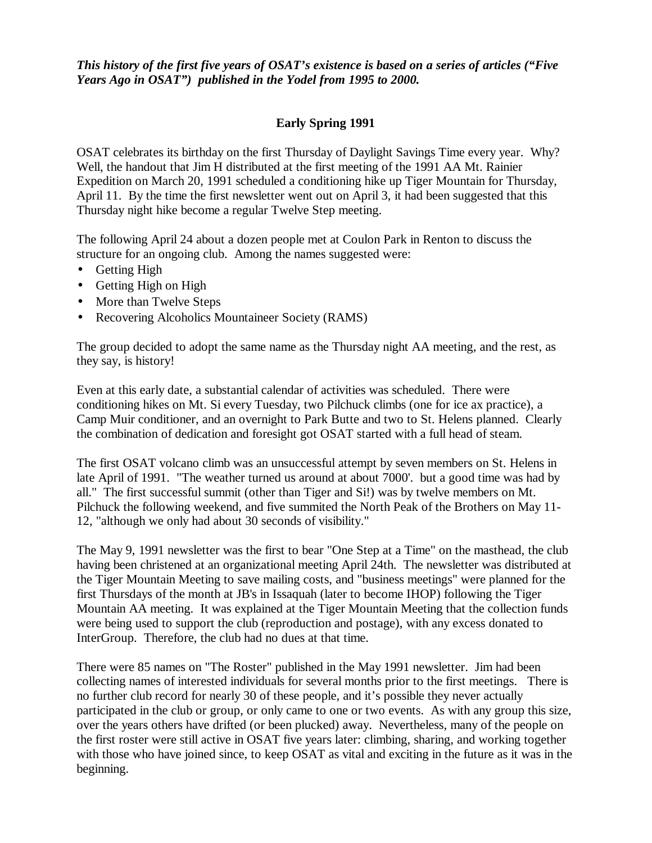*This history of the first five years of OSAT's existence is based on a series of articles ("Five Years Ago in OSAT") published in the Yodel from 1995 to 2000.* 

# **Early Spring 1991**

OSAT celebrates its birthday on the first Thursday of Daylight Savings Time every year. Why? Well, the handout that Jim H distributed at the first meeting of the 1991 AA Mt. Rainier Expedition on March 20, 1991 scheduled a conditioning hike up Tiger Mountain for Thursday, April 11. By the time the first newsletter went out on April 3, it had been suggested that this Thursday night hike become a regular Twelve Step meeting.

The following April 24 about a dozen people met at Coulon Park in Renton to discuss the structure for an ongoing club. Among the names suggested were:

- Getting High
- Getting High on High
- More than Twelve Steps
- Recovering Alcoholics Mountaineer Society (RAMS)

The group decided to adopt the same name as the Thursday night AA meeting, and the rest, as they say, is history!

Even at this early date, a substantial calendar of activities was scheduled. There were conditioning hikes on Mt. Si every Tuesday, two Pilchuck climbs (one for ice ax practice), a Camp Muir conditioner, and an overnight to Park Butte and two to St. Helens planned. Clearly the combination of dedication and foresight got OSAT started with a full head of steam.

The first OSAT volcano climb was an unsuccessful attempt by seven members on St. Helens in late April of 1991. "The weather turned us around at about 7000'. but a good time was had by all." The first successful summit (other than Tiger and Si!) was by twelve members on Mt. Pilchuck the following weekend, and five summited the North Peak of the Brothers on May 11- 12, "although we only had about 30 seconds of visibility."

The May 9, 1991 newsletter was the first to bear "One Step at a Time" on the masthead, the club having been christened at an organizational meeting April 24th. The newsletter was distributed at the Tiger Mountain Meeting to save mailing costs, and "business meetings" were planned for the first Thursdays of the month at JB's in Issaquah (later to become IHOP) following the Tiger Mountain AA meeting. It was explained at the Tiger Mountain Meeting that the collection funds were being used to support the club (reproduction and postage), with any excess donated to InterGroup. Therefore, the club had no dues at that time.

There were 85 names on "The Roster" published in the May 1991 newsletter. Jim had been collecting names of interested individuals for several months prior to the first meetings. There is no further club record for nearly 30 of these people, and it's possible they never actually participated in the club or group, or only came to one or two events. As with any group this size, over the years others have drifted (or been plucked) away. Nevertheless, many of the people on the first roster were still active in OSAT five years later: climbing, sharing, and working together with those who have joined since, to keep OSAT as vital and exciting in the future as it was in the beginning.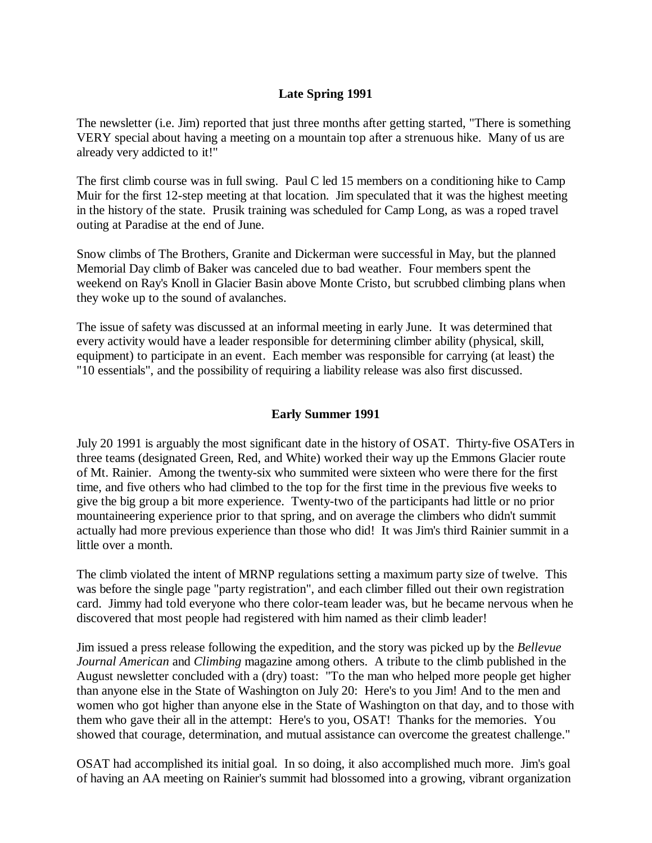# **Late Spring 1991**

The newsletter (i.e. Jim) reported that just three months after getting started, "There is something VERY special about having a meeting on a mountain top after a strenuous hike. Many of us are already very addicted to it!"

The first climb course was in full swing. Paul C led 15 members on a conditioning hike to Camp Muir for the first 12-step meeting at that location. Jim speculated that it was the highest meeting in the history of the state. Prusik training was scheduled for Camp Long, as was a roped travel outing at Paradise at the end of June.

Snow climbs of The Brothers, Granite and Dickerman were successful in May, but the planned Memorial Day climb of Baker was canceled due to bad weather. Four members spent the weekend on Ray's Knoll in Glacier Basin above Monte Cristo, but scrubbed climbing plans when they woke up to the sound of avalanches.

The issue of safety was discussed at an informal meeting in early June. It was determined that every activity would have a leader responsible for determining climber ability (physical, skill, equipment) to participate in an event. Each member was responsible for carrying (at least) the "10 essentials", and the possibility of requiring a liability release was also first discussed.

### **Early Summer 1991**

July 20 1991 is arguably the most significant date in the history of OSAT. Thirty-five OSATers in three teams (designated Green, Red, and White) worked their way up the Emmons Glacier route of Mt. Rainier. Among the twenty-six who summited were sixteen who were there for the first time, and five others who had climbed to the top for the first time in the previous five weeks to give the big group a bit more experience. Twenty-two of the participants had little or no prior mountaineering experience prior to that spring, and on average the climbers who didn't summit actually had more previous experience than those who did! It was Jim's third Rainier summit in a little over a month.

The climb violated the intent of MRNP regulations setting a maximum party size of twelve. This was before the single page "party registration", and each climber filled out their own registration card. Jimmy had told everyone who there color-team leader was, but he became nervous when he discovered that most people had registered with him named as their climb leader!

Jim issued a press release following the expedition, and the story was picked up by the *Bellevue Journal American* and *Climbing* magazine among others. A tribute to the climb published in the August newsletter concluded with a (dry) toast: "To the man who helped more people get higher than anyone else in the State of Washington on July 20: Here's to you Jim! And to the men and women who got higher than anyone else in the State of Washington on that day, and to those with them who gave their all in the attempt: Here's to you, OSAT! Thanks for the memories. You showed that courage, determination, and mutual assistance can overcome the greatest challenge."

OSAT had accomplished its initial goal. In so doing, it also accomplished much more. Jim's goal of having an AA meeting on Rainier's summit had blossomed into a growing, vibrant organization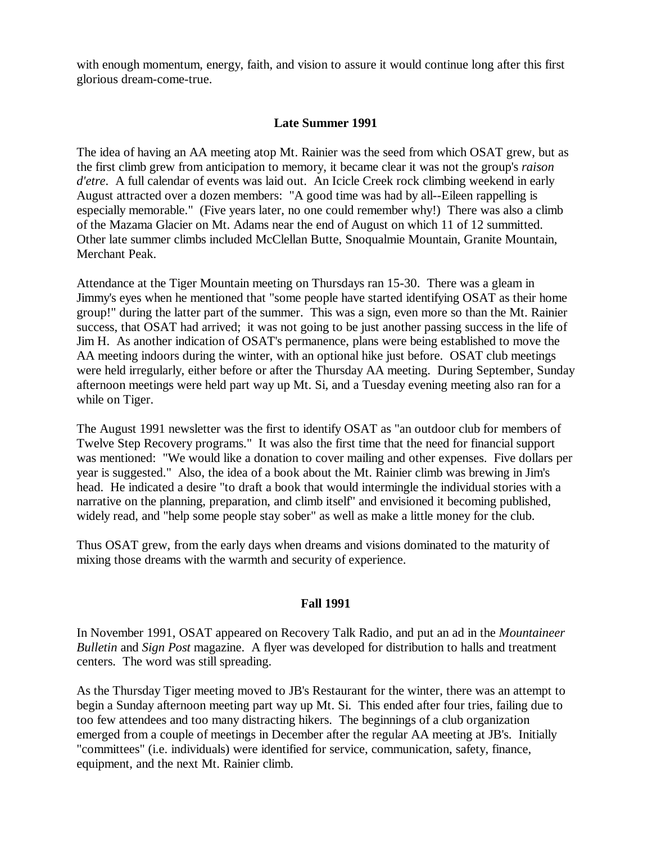with enough momentum, energy, faith, and vision to assure it would continue long after this first glorious dream-come-true.

## **Late Summer 1991**

The idea of having an AA meeting atop Mt. Rainier was the seed from which OSAT grew, but as the first climb grew from anticipation to memory, it became clear it was not the group's *raison d'etre*. A full calendar of events was laid out. An Icicle Creek rock climbing weekend in early August attracted over a dozen members: "A good time was had by all--Eileen rappelling is especially memorable." (Five years later, no one could remember why!) There was also a climb of the Mazama Glacier on Mt. Adams near the end of August on which 11 of 12 summitted. Other late summer climbs included McClellan Butte, Snoqualmie Mountain, Granite Mountain, Merchant Peak.

Attendance at the Tiger Mountain meeting on Thursdays ran 15-30. There was a gleam in Jimmy's eyes when he mentioned that "some people have started identifying OSAT as their home group!" during the latter part of the summer. This was a sign, even more so than the Mt. Rainier success, that OSAT had arrived; it was not going to be just another passing success in the life of Jim H. As another indication of OSAT's permanence, plans were being established to move the AA meeting indoors during the winter, with an optional hike just before. OSAT club meetings were held irregularly, either before or after the Thursday AA meeting. During September, Sunday afternoon meetings were held part way up Mt. Si, and a Tuesday evening meeting also ran for a while on Tiger.

The August 1991 newsletter was the first to identify OSAT as "an outdoor club for members of Twelve Step Recovery programs." It was also the first time that the need for financial support was mentioned: "We would like a donation to cover mailing and other expenses. Five dollars per year is suggested." Also, the idea of a book about the Mt. Rainier climb was brewing in Jim's head. He indicated a desire "to draft a book that would intermingle the individual stories with a narrative on the planning, preparation, and climb itself" and envisioned it becoming published, widely read, and "help some people stay sober" as well as make a little money for the club.

Thus OSAT grew, from the early days when dreams and visions dominated to the maturity of mixing those dreams with the warmth and security of experience.

## **Fall 1991**

In November 1991, OSAT appeared on Recovery Talk Radio, and put an ad in the *Mountaineer Bulletin* and *Sign Post* magazine. A flyer was developed for distribution to halls and treatment centers. The word was still spreading.

As the Thursday Tiger meeting moved to JB's Restaurant for the winter, there was an attempt to begin a Sunday afternoon meeting part way up Mt. Si. This ended after four tries, failing due to too few attendees and too many distracting hikers. The beginnings of a club organization emerged from a couple of meetings in December after the regular AA meeting at JB's. Initially "committees" (i.e. individuals) were identified for service, communication, safety, finance, equipment, and the next Mt. Rainier climb.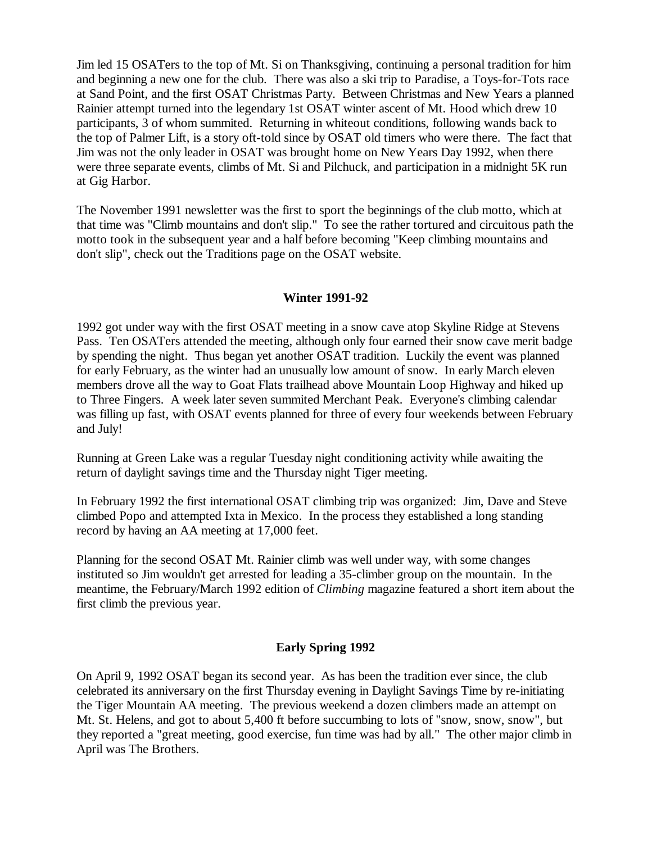Jim led 15 OSATers to the top of Mt. Si on Thanksgiving, continuing a personal tradition for him and beginning a new one for the club. There was also a ski trip to Paradise, a Toys-for-Tots race at Sand Point, and the first OSAT Christmas Party. Between Christmas and New Years a planned Rainier attempt turned into the legendary 1st OSAT winter ascent of Mt. Hood which drew 10 participants, 3 of whom summited. Returning in whiteout conditions, following wands back to the top of Palmer Lift, is a story oft-told since by OSAT old timers who were there. The fact that Jim was not the only leader in OSAT was brought home on New Years Day 1992, when there were three separate events, climbs of Mt. Si and Pilchuck, and participation in a midnight 5K run at Gig Harbor.

The November 1991 newsletter was the first to sport the beginnings of the club motto, which at that time was "Climb mountains and don't slip." To see the rather tortured and circuitous path the motto took in the subsequent year and a half before becoming "Keep climbing mountains and don't slip", check out the Traditions page on the OSAT website.

### **Winter 1991-92**

1992 got under way with the first OSAT meeting in a snow cave atop Skyline Ridge at Stevens Pass. Ten OSATers attended the meeting, although only four earned their snow cave merit badge by spending the night. Thus began yet another OSAT tradition. Luckily the event was planned for early February, as the winter had an unusually low amount of snow. In early March eleven members drove all the way to Goat Flats trailhead above Mountain Loop Highway and hiked up to Three Fingers. A week later seven summited Merchant Peak. Everyone's climbing calendar was filling up fast, with OSAT events planned for three of every four weekends between February and July!

Running at Green Lake was a regular Tuesday night conditioning activity while awaiting the return of daylight savings time and the Thursday night Tiger meeting.

In February 1992 the first international OSAT climbing trip was organized: Jim, Dave and Steve climbed Popo and attempted Ixta in Mexico. In the process they established a long standing record by having an AA meeting at 17,000 feet.

Planning for the second OSAT Mt. Rainier climb was well under way, with some changes instituted so Jim wouldn't get arrested for leading a 35-climber group on the mountain. In the meantime, the February/March 1992 edition of *Climbing* magazine featured a short item about the first climb the previous year.

## **Early Spring 1992**

On April 9, 1992 OSAT began its second year. As has been the tradition ever since, the club celebrated its anniversary on the first Thursday evening in Daylight Savings Time by re-initiating the Tiger Mountain AA meeting. The previous weekend a dozen climbers made an attempt on Mt. St. Helens, and got to about 5,400 ft before succumbing to lots of "snow, snow, snow", but they reported a "great meeting, good exercise, fun time was had by all." The other major climb in April was The Brothers.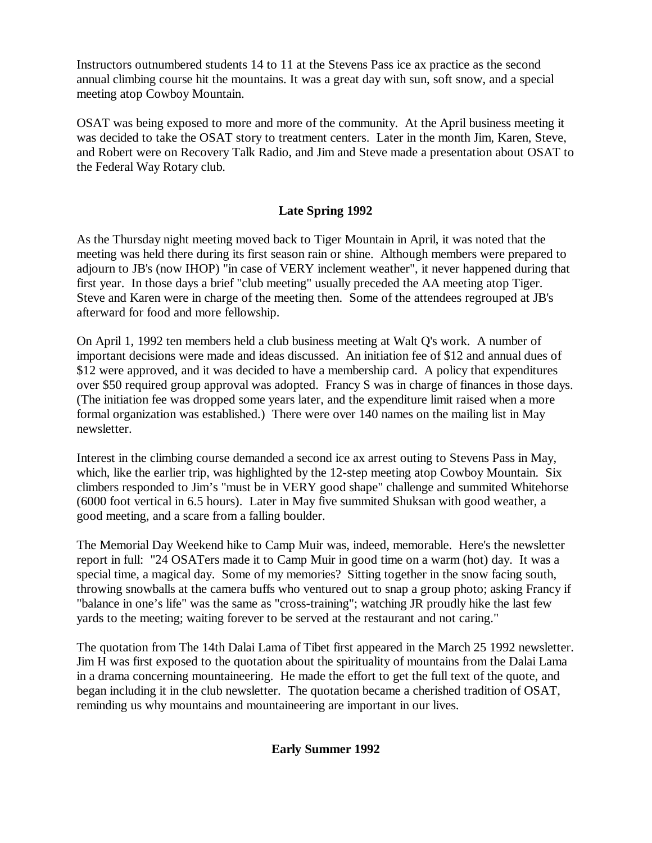Instructors outnumbered students 14 to 11 at the Stevens Pass ice ax practice as the second annual climbing course hit the mountains. It was a great day with sun, soft snow, and a special meeting atop Cowboy Mountain.

OSAT was being exposed to more and more of the community. At the April business meeting it was decided to take the OSAT story to treatment centers. Later in the month Jim, Karen, Steve, and Robert were on Recovery Talk Radio, and Jim and Steve made a presentation about OSAT to the Federal Way Rotary club.

# **Late Spring 1992**

As the Thursday night meeting moved back to Tiger Mountain in April, it was noted that the meeting was held there during its first season rain or shine. Although members were prepared to adjourn to JB's (now IHOP) "in case of VERY inclement weather", it never happened during that first year. In those days a brief "club meeting" usually preceded the AA meeting atop Tiger. Steve and Karen were in charge of the meeting then. Some of the attendees regrouped at JB's afterward for food and more fellowship.

On April 1, 1992 ten members held a club business meeting at Walt Q's work. A number of important decisions were made and ideas discussed. An initiation fee of \$12 and annual dues of \$12 were approved, and it was decided to have a membership card. A policy that expenditures over \$50 required group approval was adopted. Francy S was in charge of finances in those days. (The initiation fee was dropped some years later, and the expenditure limit raised when a more formal organization was established.) There were over 140 names on the mailing list in May newsletter.

Interest in the climbing course demanded a second ice ax arrest outing to Stevens Pass in May, which, like the earlier trip, was highlighted by the 12-step meeting atop Cowboy Mountain. Six climbers responded to Jim's "must be in VERY good shape" challenge and summited Whitehorse (6000 foot vertical in 6.5 hours). Later in May five summited Shuksan with good weather, a good meeting, and a scare from a falling boulder.

The Memorial Day Weekend hike to Camp Muir was, indeed, memorable. Here's the newsletter report in full: "24 OSATers made it to Camp Muir in good time on a warm (hot) day. It was a special time, a magical day. Some of my memories? Sitting together in the snow facing south, throwing snowballs at the camera buffs who ventured out to snap a group photo; asking Francy if "balance in one's life" was the same as "cross-training"; watching JR proudly hike the last few yards to the meeting; waiting forever to be served at the restaurant and not caring."

The quotation from The 14th Dalai Lama of Tibet first appeared in the March 25 1992 newsletter. Jim H was first exposed to the quotation about the spirituality of mountains from the Dalai Lama in a drama concerning mountaineering. He made the effort to get the full text of the quote, and began including it in the club newsletter. The quotation became a cherished tradition of OSAT, reminding us why mountains and mountaineering are important in our lives.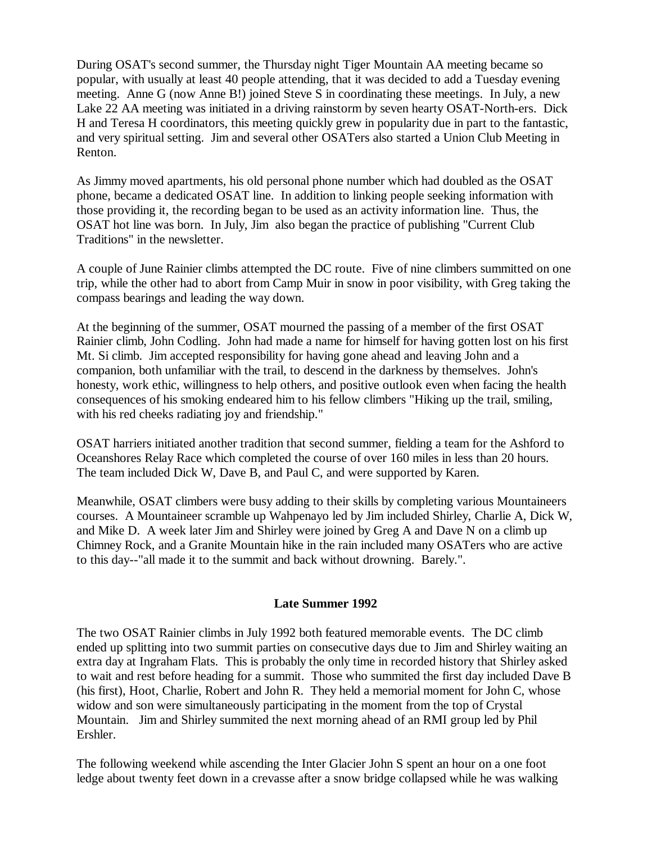During OSAT's second summer, the Thursday night Tiger Mountain AA meeting became so popular, with usually at least 40 people attending, that it was decided to add a Tuesday evening meeting. Anne G (now Anne B!) joined Steve S in coordinating these meetings. In July, a new Lake 22 AA meeting was initiated in a driving rainstorm by seven hearty OSAT-North-ers. Dick H and Teresa H coordinators, this meeting quickly grew in popularity due in part to the fantastic, and very spiritual setting. Jim and several other OSATers also started a Union Club Meeting in Renton.

As Jimmy moved apartments, his old personal phone number which had doubled as the OSAT phone, became a dedicated OSAT line. In addition to linking people seeking information with those providing it, the recording began to be used as an activity information line. Thus, the OSAT hot line was born. In July, Jim also began the practice of publishing "Current Club Traditions" in the newsletter.

A couple of June Rainier climbs attempted the DC route. Five of nine climbers summitted on one trip, while the other had to abort from Camp Muir in snow in poor visibility, with Greg taking the compass bearings and leading the way down.

At the beginning of the summer, OSAT mourned the passing of a member of the first OSAT Rainier climb, John Codling. John had made a name for himself for having gotten lost on his first Mt. Si climb. Jim accepted responsibility for having gone ahead and leaving John and a companion, both unfamiliar with the trail, to descend in the darkness by themselves. John's honesty, work ethic, willingness to help others, and positive outlook even when facing the health consequences of his smoking endeared him to his fellow climbers "Hiking up the trail, smiling, with his red cheeks radiating joy and friendship."

OSAT harriers initiated another tradition that second summer, fielding a team for the Ashford to Oceanshores Relay Race which completed the course of over 160 miles in less than 20 hours. The team included Dick W, Dave B, and Paul C, and were supported by Karen.

Meanwhile, OSAT climbers were busy adding to their skills by completing various Mountaineers courses. A Mountaineer scramble up Wahpenayo led by Jim included Shirley, Charlie A, Dick W, and Mike D. A week later Jim and Shirley were joined by Greg A and Dave N on a climb up Chimney Rock, and a Granite Mountain hike in the rain included many OSATers who are active to this day--"all made it to the summit and back without drowning. Barely.".

#### **Late Summer 1992**

The two OSAT Rainier climbs in July 1992 both featured memorable events. The DC climb ended up splitting into two summit parties on consecutive days due to Jim and Shirley waiting an extra day at Ingraham Flats. This is probably the only time in recorded history that Shirley asked to wait and rest before heading for a summit. Those who summited the first day included Dave B (his first), Hoot, Charlie, Robert and John R. They held a memorial moment for John C, whose widow and son were simultaneously participating in the moment from the top of Crystal Mountain. Jim and Shirley summited the next morning ahead of an RMI group led by Phil Ershler.

The following weekend while ascending the Inter Glacier John S spent an hour on a one foot ledge about twenty feet down in a crevasse after a snow bridge collapsed while he was walking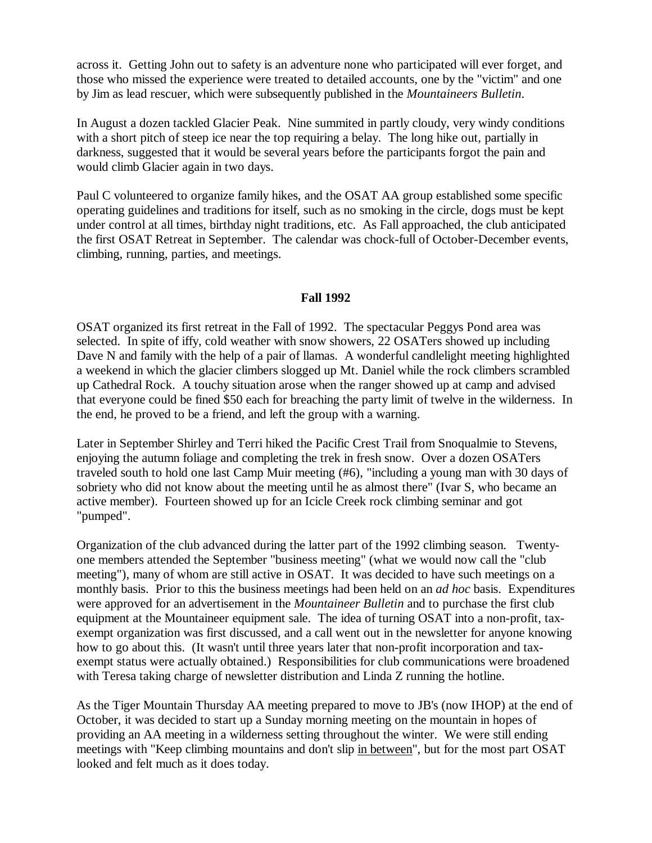across it. Getting John out to safety is an adventure none who participated will ever forget, and those who missed the experience were treated to detailed accounts, one by the "victim" and one by Jim as lead rescuer, which were subsequently published in the *Mountaineers Bulletin*.

In August a dozen tackled Glacier Peak. Nine summited in partly cloudy, very windy conditions with a short pitch of steep ice near the top requiring a belay. The long hike out, partially in darkness, suggested that it would be several years before the participants forgot the pain and would climb Glacier again in two days.

Paul C volunteered to organize family hikes, and the OSAT AA group established some specific operating guidelines and traditions for itself, such as no smoking in the circle, dogs must be kept under control at all times, birthday night traditions, etc. As Fall approached, the club anticipated the first OSAT Retreat in September. The calendar was chock-full of October-December events, climbing, running, parties, and meetings.

### **Fall 1992**

OSAT organized its first retreat in the Fall of 1992. The spectacular Peggys Pond area was selected. In spite of iffy, cold weather with snow showers, 22 OSATers showed up including Dave N and family with the help of a pair of llamas. A wonderful candlelight meeting highlighted a weekend in which the glacier climbers slogged up Mt. Daniel while the rock climbers scrambled up Cathedral Rock. A touchy situation arose when the ranger showed up at camp and advised that everyone could be fined \$50 each for breaching the party limit of twelve in the wilderness. In the end, he proved to be a friend, and left the group with a warning.

Later in September Shirley and Terri hiked the Pacific Crest Trail from Snoqualmie to Stevens, enjoying the autumn foliage and completing the trek in fresh snow. Over a dozen OSATers traveled south to hold one last Camp Muir meeting (#6), "including a young man with 30 days of sobriety who did not know about the meeting until he as almost there" (Ivar S, who became an active member). Fourteen showed up for an Icicle Creek rock climbing seminar and got "pumped".

Organization of the club advanced during the latter part of the 1992 climbing season. Twentyone members attended the September "business meeting" (what we would now call the "club meeting"), many of whom are still active in OSAT. It was decided to have such meetings on a monthly basis. Prior to this the business meetings had been held on an *ad hoc* basis. Expenditures were approved for an advertisement in the *Mountaineer Bulletin* and to purchase the first club equipment at the Mountaineer equipment sale. The idea of turning OSAT into a non-profit, taxexempt organization was first discussed, and a call went out in the newsletter for anyone knowing how to go about this. (It wasn't until three years later that non-profit incorporation and taxexempt status were actually obtained.) Responsibilities for club communications were broadened with Teresa taking charge of newsletter distribution and Linda Z running the hotline.

As the Tiger Mountain Thursday AA meeting prepared to move to JB's (now IHOP) at the end of October, it was decided to start up a Sunday morning meeting on the mountain in hopes of providing an AA meeting in a wilderness setting throughout the winter. We were still ending meetings with "Keep climbing mountains and don't slip in between", but for the most part OSAT looked and felt much as it does today.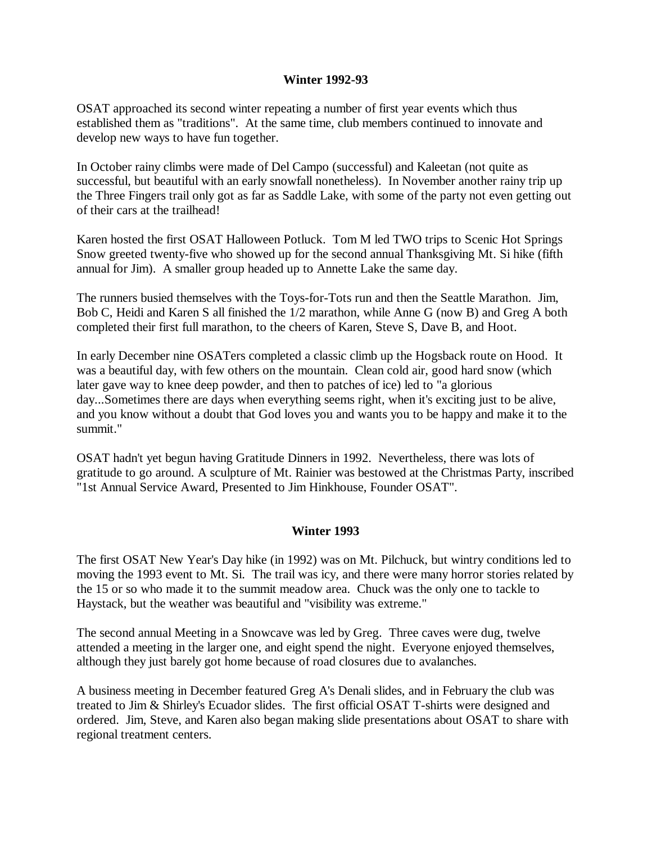### **Winter 1992-93**

OSAT approached its second winter repeating a number of first year events which thus established them as "traditions". At the same time, club members continued to innovate and develop new ways to have fun together.

In October rainy climbs were made of Del Campo (successful) and Kaleetan (not quite as successful, but beautiful with an early snowfall nonetheless). In November another rainy trip up the Three Fingers trail only got as far as Saddle Lake, with some of the party not even getting out of their cars at the trailhead!

Karen hosted the first OSAT Halloween Potluck. Tom M led TWO trips to Scenic Hot Springs Snow greeted twenty-five who showed up for the second annual Thanksgiving Mt. Si hike (fifth annual for Jim). A smaller group headed up to Annette Lake the same day.

The runners busied themselves with the Toys-for-Tots run and then the Seattle Marathon. Jim, Bob C, Heidi and Karen S all finished the 1/2 marathon, while Anne G (now B) and Greg A both completed their first full marathon, to the cheers of Karen, Steve S, Dave B, and Hoot.

In early December nine OSATers completed a classic climb up the Hogsback route on Hood. It was a beautiful day, with few others on the mountain. Clean cold air, good hard snow (which later gave way to knee deep powder, and then to patches of ice) led to "a glorious day...Sometimes there are days when everything seems right, when it's exciting just to be alive, and you know without a doubt that God loves you and wants you to be happy and make it to the summit."

OSAT hadn't yet begun having Gratitude Dinners in 1992. Nevertheless, there was lots of gratitude to go around. A sculpture of Mt. Rainier was bestowed at the Christmas Party, inscribed "1st Annual Service Award, Presented to Jim Hinkhouse, Founder OSAT".

## **Winter 1993**

The first OSAT New Year's Day hike (in 1992) was on Mt. Pilchuck, but wintry conditions led to moving the 1993 event to Mt. Si. The trail was icy, and there were many horror stories related by the 15 or so who made it to the summit meadow area. Chuck was the only one to tackle to Haystack, but the weather was beautiful and "visibility was extreme."

The second annual Meeting in a Snowcave was led by Greg. Three caves were dug, twelve attended a meeting in the larger one, and eight spend the night. Everyone enjoyed themselves, although they just barely got home because of road closures due to avalanches.

A business meeting in December featured Greg A's Denali slides, and in February the club was treated to Jim & Shirley's Ecuador slides. The first official OSAT T-shirts were designed and ordered. Jim, Steve, and Karen also began making slide presentations about OSAT to share with regional treatment centers.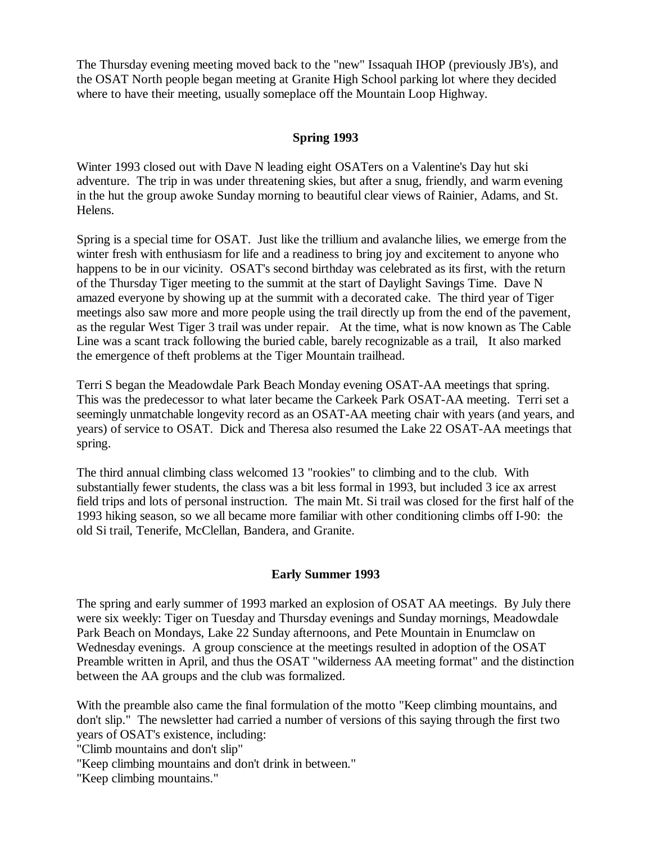The Thursday evening meeting moved back to the "new" Issaquah IHOP (previously JB's), and the OSAT North people began meeting at Granite High School parking lot where they decided where to have their meeting, usually someplace off the Mountain Loop Highway.

# **Spring 1993**

Winter 1993 closed out with Dave N leading eight OSATers on a Valentine's Day hut ski adventure. The trip in was under threatening skies, but after a snug, friendly, and warm evening in the hut the group awoke Sunday morning to beautiful clear views of Rainier, Adams, and St. Helens.

Spring is a special time for OSAT. Just like the trillium and avalanche lilies, we emerge from the winter fresh with enthusiasm for life and a readiness to bring joy and excitement to anyone who happens to be in our vicinity. OSAT's second birthday was celebrated as its first, with the return of the Thursday Tiger meeting to the summit at the start of Daylight Savings Time. Dave N amazed everyone by showing up at the summit with a decorated cake. The third year of Tiger meetings also saw more and more people using the trail directly up from the end of the pavement, as the regular West Tiger 3 trail was under repair. At the time, what is now known as The Cable Line was a scant track following the buried cable, barely recognizable as a trail, It also marked the emergence of theft problems at the Tiger Mountain trailhead.

Terri S began the Meadowdale Park Beach Monday evening OSAT-AA meetings that spring. This was the predecessor to what later became the Carkeek Park OSAT-AA meeting. Terri set a seemingly unmatchable longevity record as an OSAT-AA meeting chair with years (and years, and years) of service to OSAT. Dick and Theresa also resumed the Lake 22 OSAT-AA meetings that spring.

The third annual climbing class welcomed 13 "rookies" to climbing and to the club. With substantially fewer students, the class was a bit less formal in 1993, but included 3 ice ax arrest field trips and lots of personal instruction. The main Mt. Si trail was closed for the first half of the 1993 hiking season, so we all became more familiar with other conditioning climbs off I-90: the old Si trail, Tenerife, McClellan, Bandera, and Granite.

# **Early Summer 1993**

The spring and early summer of 1993 marked an explosion of OSAT AA meetings. By July there were six weekly: Tiger on Tuesday and Thursday evenings and Sunday mornings, Meadowdale Park Beach on Mondays, Lake 22 Sunday afternoons, and Pete Mountain in Enumclaw on Wednesday evenings. A group conscience at the meetings resulted in adoption of the OSAT Preamble written in April, and thus the OSAT "wilderness AA meeting format" and the distinction between the AA groups and the club was formalized.

With the preamble also came the final formulation of the motto "Keep climbing mountains, and don't slip." The newsletter had carried a number of versions of this saying through the first two years of OSAT's existence, including:

"Climb mountains and don't slip"

"Keep climbing mountains and don't drink in between."

"Keep climbing mountains."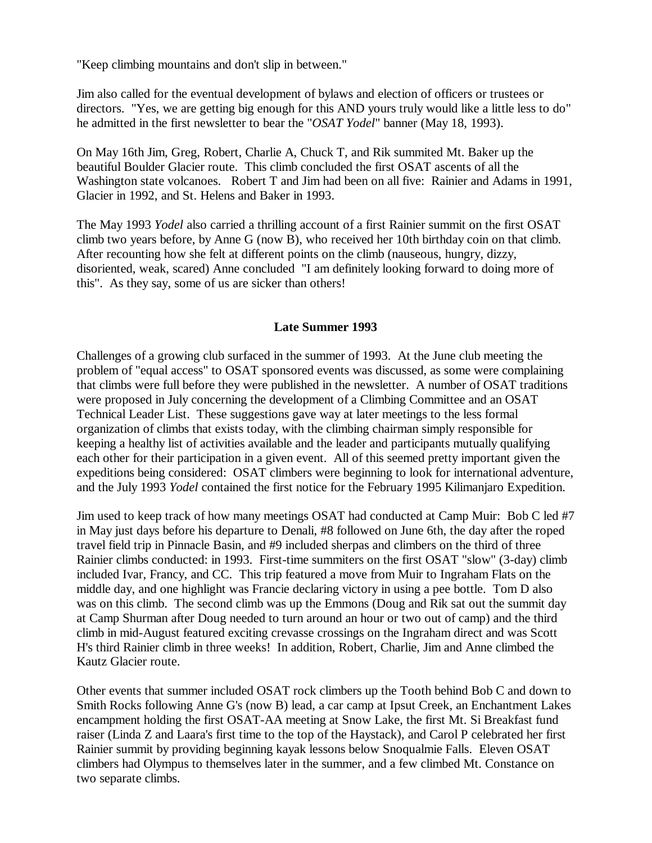"Keep climbing mountains and don't slip in between."

Jim also called for the eventual development of bylaws and election of officers or trustees or directors. "Yes, we are getting big enough for this AND yours truly would like a little less to do" he admitted in the first newsletter to bear the "*OSAT Yodel*" banner (May 18, 1993).

On May 16th Jim, Greg, Robert, Charlie A, Chuck T, and Rik summited Mt. Baker up the beautiful Boulder Glacier route. This climb concluded the first OSAT ascents of all the Washington state volcanoes. Robert T and Jim had been on all five: Rainier and Adams in 1991, Glacier in 1992, and St. Helens and Baker in 1993.

The May 1993 *Yodel* also carried a thrilling account of a first Rainier summit on the first OSAT climb two years before, by Anne G (now B), who received her 10th birthday coin on that climb. After recounting how she felt at different points on the climb (nauseous, hungry, dizzy, disoriented, weak, scared) Anne concluded "I am definitely looking forward to doing more of this". As they say, some of us are sicker than others!

# **Late Summer 1993**

Challenges of a growing club surfaced in the summer of 1993. At the June club meeting the problem of "equal access" to OSAT sponsored events was discussed, as some were complaining that climbs were full before they were published in the newsletter. A number of OSAT traditions were proposed in July concerning the development of a Climbing Committee and an OSAT Technical Leader List. These suggestions gave way at later meetings to the less formal organization of climbs that exists today, with the climbing chairman simply responsible for keeping a healthy list of activities available and the leader and participants mutually qualifying each other for their participation in a given event. All of this seemed pretty important given the expeditions being considered: OSAT climbers were beginning to look for international adventure, and the July 1993 *Yodel* contained the first notice for the February 1995 Kilimanjaro Expedition.

Jim used to keep track of how many meetings OSAT had conducted at Camp Muir: Bob C led #7 in May just days before his departure to Denali, #8 followed on June 6th, the day after the roped travel field trip in Pinnacle Basin, and #9 included sherpas and climbers on the third of three Rainier climbs conducted: in 1993. First-time summiters on the first OSAT "slow" (3-day) climb included Ivar, Francy, and CC. This trip featured a move from Muir to Ingraham Flats on the middle day, and one highlight was Francie declaring victory in using a pee bottle. Tom D also was on this climb. The second climb was up the Emmons (Doug and Rik sat out the summit day at Camp Shurman after Doug needed to turn around an hour or two out of camp) and the third climb in mid-August featured exciting crevasse crossings on the Ingraham direct and was Scott H's third Rainier climb in three weeks! In addition, Robert, Charlie, Jim and Anne climbed the Kautz Glacier route.

Other events that summer included OSAT rock climbers up the Tooth behind Bob C and down to Smith Rocks following Anne G's (now B) lead, a car camp at Ipsut Creek, an Enchantment Lakes encampment holding the first OSAT-AA meeting at Snow Lake, the first Mt. Si Breakfast fund raiser (Linda Z and Laara's first time to the top of the Haystack), and Carol P celebrated her first Rainier summit by providing beginning kayak lessons below Snoqualmie Falls. Eleven OSAT climbers had Olympus to themselves later in the summer, and a few climbed Mt. Constance on two separate climbs.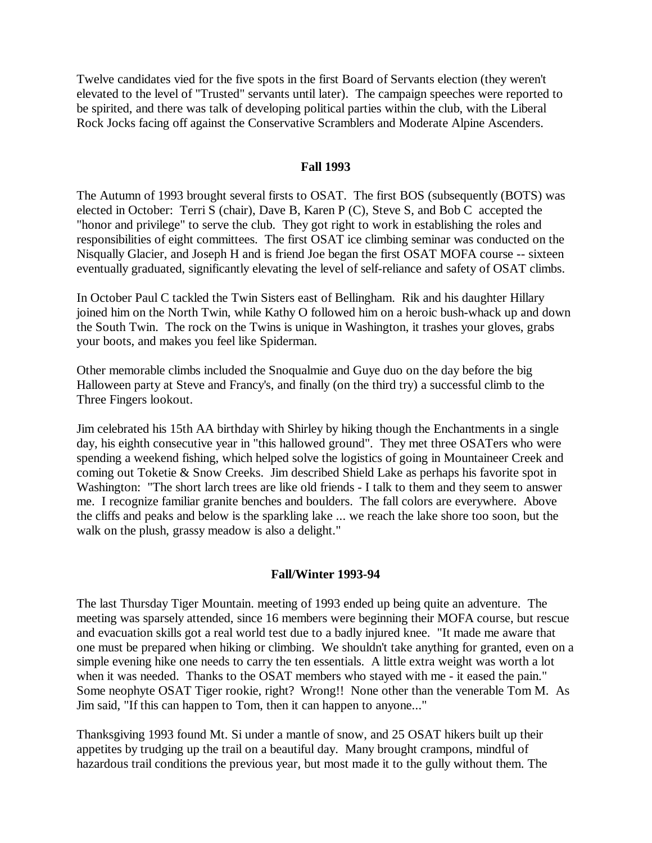Twelve candidates vied for the five spots in the first Board of Servants election (they weren't elevated to the level of "Trusted" servants until later). The campaign speeches were reported to be spirited, and there was talk of developing political parties within the club, with the Liberal Rock Jocks facing off against the Conservative Scramblers and Moderate Alpine Ascenders.

#### **Fall 1993**

The Autumn of 1993 brought several firsts to OSAT. The first BOS (subsequently (BOTS) was elected in October: Terri S (chair), Dave B, Karen P (C), Steve S, and Bob C accepted the "honor and privilege" to serve the club. They got right to work in establishing the roles and responsibilities of eight committees. The first OSAT ice climbing seminar was conducted on the Nisqually Glacier, and Joseph H and is friend Joe began the first OSAT MOFA course -- sixteen eventually graduated, significantly elevating the level of self-reliance and safety of OSAT climbs.

In October Paul C tackled the Twin Sisters east of Bellingham. Rik and his daughter Hillary joined him on the North Twin, while Kathy O followed him on a heroic bush-whack up and down the South Twin. The rock on the Twins is unique in Washington, it trashes your gloves, grabs your boots, and makes you feel like Spiderman.

Other memorable climbs included the Snoqualmie and Guye duo on the day before the big Halloween party at Steve and Francy's, and finally (on the third try) a successful climb to the Three Fingers lookout.

Jim celebrated his 15th AA birthday with Shirley by hiking though the Enchantments in a single day, his eighth consecutive year in "this hallowed ground". They met three OSATers who were spending a weekend fishing, which helped solve the logistics of going in Mountaineer Creek and coming out Toketie & Snow Creeks. Jim described Shield Lake as perhaps his favorite spot in Washington: "The short larch trees are like old friends - I talk to them and they seem to answer me. I recognize familiar granite benches and boulders. The fall colors are everywhere. Above the cliffs and peaks and below is the sparkling lake ... we reach the lake shore too soon, but the walk on the plush, grassy meadow is also a delight."

#### **Fall/Winter 1993-94**

The last Thursday Tiger Mountain. meeting of 1993 ended up being quite an adventure. The meeting was sparsely attended, since 16 members were beginning their MOFA course, but rescue and evacuation skills got a real world test due to a badly injured knee. "It made me aware that one must be prepared when hiking or climbing. We shouldn't take anything for granted, even on a simple evening hike one needs to carry the ten essentials. A little extra weight was worth a lot when it was needed. Thanks to the OSAT members who stayed with me - it eased the pain." Some neophyte OSAT Tiger rookie, right? Wrong!! None other than the venerable Tom M. As Jim said, "If this can happen to Tom, then it can happen to anyone..."

Thanksgiving 1993 found Mt. Si under a mantle of snow, and 25 OSAT hikers built up their appetites by trudging up the trail on a beautiful day. Many brought crampons, mindful of hazardous trail conditions the previous year, but most made it to the gully without them. The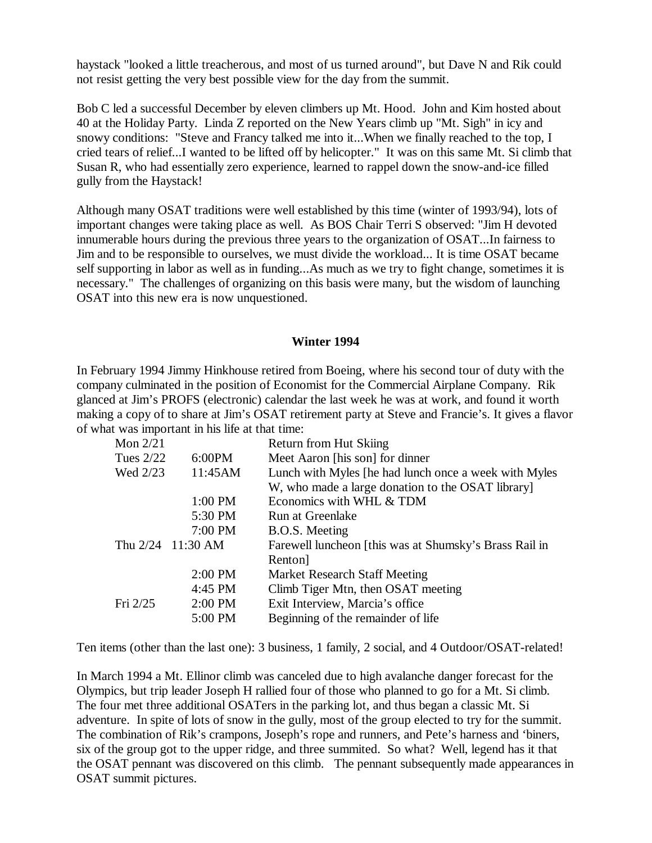haystack "looked a little treacherous, and most of us turned around", but Dave N and Rik could not resist getting the very best possible view for the day from the summit.

Bob C led a successful December by eleven climbers up Mt. Hood. John and Kim hosted about 40 at the Holiday Party. Linda Z reported on the New Years climb up "Mt. Sigh" in icy and snowy conditions: "Steve and Francy talked me into it...When we finally reached to the top, I cried tears of relief...I wanted to be lifted off by helicopter." It was on this same Mt. Si climb that Susan R, who had essentially zero experience, learned to rappel down the snow-and-ice filled gully from the Haystack!

Although many OSAT traditions were well established by this time (winter of 1993/94), lots of important changes were taking place as well. As BOS Chair Terri S observed: "Jim H devoted innumerable hours during the previous three years to the organization of OSAT...In fairness to Jim and to be responsible to ourselves, we must divide the workload... It is time OSAT became self supporting in labor as well as in funding...As much as we try to fight change, sometimes it is necessary." The challenges of organizing on this basis were many, but the wisdom of launching OSAT into this new era is now unquestioned.

#### **Winter 1994**

In February 1994 Jimmy Hinkhouse retired from Boeing, where his second tour of duty with the company culminated in the position of Economist for the Commercial Airplane Company. Rik glanced at Jim's PROFS (electronic) calendar the last week he was at work, and found it worth making a copy of to share at Jim's OSAT retirement party at Steve and Francie's. It gives a flavor of what was important in his life at that time:

| Mon $2/21$  |                     | <b>Return from Hut Skiing</b>                          |
|-------------|---------------------|--------------------------------------------------------|
| Tues $2/22$ | 6:00PM              | Meet Aaron [his son] for dinner                        |
| Wed 2/23    | 11:45AM             | Lunch with Myles [he had lunch once a week with Myles  |
|             |                     | W, who made a large donation to the OSAT library       |
|             | $1:00$ PM           | Economics with WHL & TDM                               |
|             | 5:30 PM             | Run at Greenlake                                       |
|             | 7:00 PM             | B.O.S. Meeting                                         |
|             | Thu $2/24$ 11:30 AM | Farewell luncheon [this was at Shumsky's Brass Rail in |
|             |                     | Renton <sup>1</sup>                                    |
|             | 2:00 PM             | <b>Market Research Staff Meeting</b>                   |
|             | 4:45 PM             | Climb Tiger Mtn, then OSAT meeting                     |
| Fri $2/25$  | $2:00$ PM           | Exit Interview, Marcia's office                        |
|             | 5:00 PM             | Beginning of the remainder of life                     |

Ten items (other than the last one): 3 business, 1 family, 2 social, and 4 Outdoor/OSAT-related!

In March 1994 a Mt. Ellinor climb was canceled due to high avalanche danger forecast for the Olympics, but trip leader Joseph H rallied four of those who planned to go for a Mt. Si climb. The four met three additional OSATers in the parking lot, and thus began a classic Mt. Si adventure. In spite of lots of snow in the gully, most of the group elected to try for the summit. The combination of Rik's crampons, Joseph's rope and runners, and Pete's harness and 'biners, six of the group got to the upper ridge, and three summited. So what? Well, legend has it that the OSAT pennant was discovered on this climb. The pennant subsequently made appearances in OSAT summit pictures.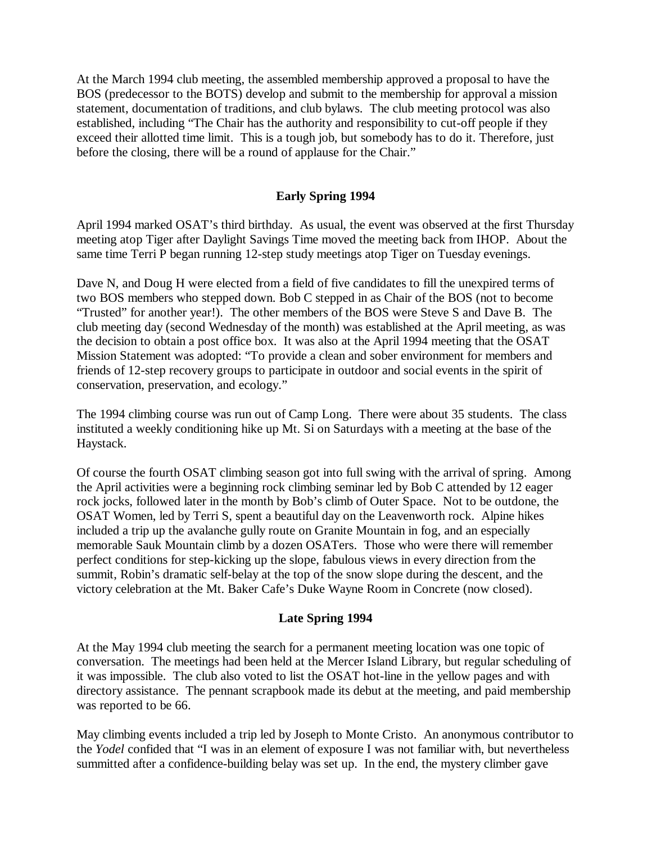At the March 1994 club meeting, the assembled membership approved a proposal to have the BOS (predecessor to the BOTS) develop and submit to the membership for approval a mission statement, documentation of traditions, and club bylaws. The club meeting protocol was also established, including "The Chair has the authority and responsibility to cut-off people if they exceed their allotted time limit. This is a tough job, but somebody has to do it. Therefore, just before the closing, there will be a round of applause for the Chair."

## **Early Spring 1994**

April 1994 marked OSAT's third birthday. As usual, the event was observed at the first Thursday meeting atop Tiger after Daylight Savings Time moved the meeting back from IHOP. About the same time Terri P began running 12-step study meetings atop Tiger on Tuesday evenings.

Dave N, and Doug H were elected from a field of five candidates to fill the unexpired terms of two BOS members who stepped down. Bob C stepped in as Chair of the BOS (not to become "Trusted" for another year!). The other members of the BOS were Steve S and Dave B. The club meeting day (second Wednesday of the month) was established at the April meeting, as was the decision to obtain a post office box. It was also at the April 1994 meeting that the OSAT Mission Statement was adopted: "To provide a clean and sober environment for members and friends of 12-step recovery groups to participate in outdoor and social events in the spirit of conservation, preservation, and ecology."

The 1994 climbing course was run out of Camp Long. There were about 35 students. The class instituted a weekly conditioning hike up Mt. Si on Saturdays with a meeting at the base of the Haystack.

Of course the fourth OSAT climbing season got into full swing with the arrival of spring. Among the April activities were a beginning rock climbing seminar led by Bob C attended by 12 eager rock jocks, followed later in the month by Bob's climb of Outer Space. Not to be outdone, the OSAT Women, led by Terri S, spent a beautiful day on the Leavenworth rock. Alpine hikes included a trip up the avalanche gully route on Granite Mountain in fog, and an especially memorable Sauk Mountain climb by a dozen OSATers. Those who were there will remember perfect conditions for step-kicking up the slope, fabulous views in every direction from the summit, Robin's dramatic self-belay at the top of the snow slope during the descent, and the victory celebration at the Mt. Baker Cafe's Duke Wayne Room in Concrete (now closed).

#### **Late Spring 1994**

At the May 1994 club meeting the search for a permanent meeting location was one topic of conversation. The meetings had been held at the Mercer Island Library, but regular scheduling of it was impossible. The club also voted to list the OSAT hot-line in the yellow pages and with directory assistance. The pennant scrapbook made its debut at the meeting, and paid membership was reported to be 66.

May climbing events included a trip led by Joseph to Monte Cristo. An anonymous contributor to the *Yodel* confided that "I was in an element of exposure I was not familiar with, but nevertheless summitted after a confidence-building belay was set up. In the end, the mystery climber gave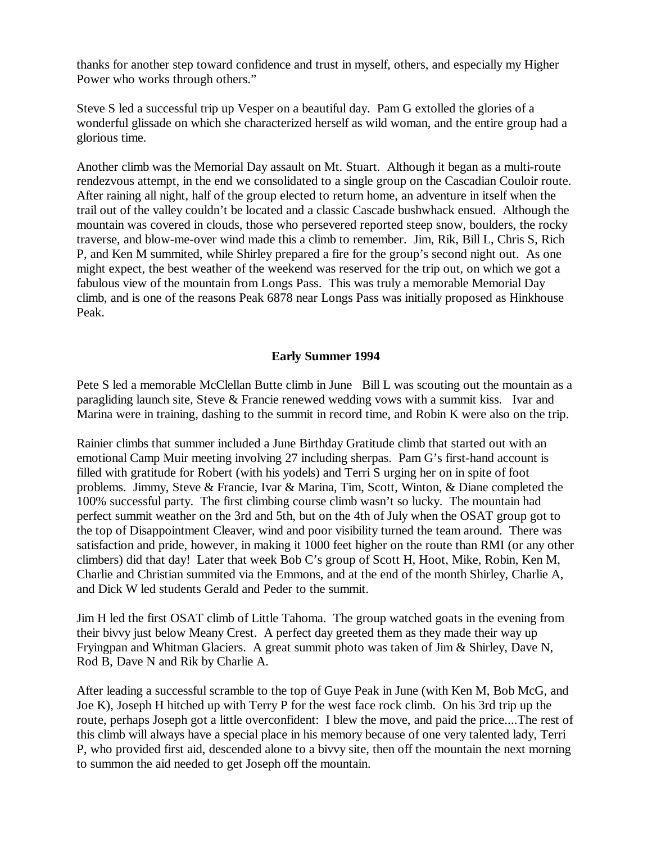thanks for another step toward confidence and trust in myself, others, and especially my Higher Power who works through others."

Steve S led a successful trip up Vesper on a beautiful day. Pam G extolled the glories of a wonderful glissade on which she characterized herself as wild woman, and the entire group had a glorious time.

Another climb was the Memorial Day assault on Mt. Stuart. Although it began as a multi-route rendezvous attempt, in the end we consolidated to a single group on the Cascadian Couloir route. After raining all night, half of the group elected to return home, an adventure in itself when the trail out of the valley couldn't be located and a classic Cascade bushwhack ensued. Although the mountain was covered in clouds, those who persevered reported steep snow, boulders, the rocky traverse, and blow-me-over wind made this a climb to remember. Jim, Rik, Bill L, Chris S, Rich P, and Ken M summited, while Shirley prepared a fire for the group's second night out. As one might expect, the best weather of the weekend was reserved for the trip out, on which we got a fabulous view of the mountain from Longs Pass. This was truly a memorable Memorial Day climb, and is one of the reasons Peak 6878 near Longs Pass was initially proposed as Hinkhouse Peak.

### **Early Summer 1994**

Pete S led a memorable McClellan Butte climb in June Bill L was scouting out the mountain as a paragliding launch site, Steve & Francie renewed wedding vows with a summit kiss. Ivar and Marina were in training, dashing to the summit in record time, and Robin K were also on the trip.

Rainier climbs that summer included a June Birthday Gratitude climb that started out with an emotional Camp Muir meeting involving 27 including sherpas. Pam G's first-hand account is filled with gratitude for Robert (with his yodels) and Terri S urging her on in spite of foot problems. Jimmy, Steve & Francie, Ivar & Marina, Tim, Scott, Winton, & Diane completed the 100% successful party. The first climbing course climb wasn't so lucky. The mountain had perfect summit weather on the 3rd and 5th, but on the 4th of July when the OSAT group got to the top of Disappointment Cleaver, wind and poor visibility turned the team around. There was satisfaction and pride, however, in making it 1000 feet higher on the route than RMI (or any other climbers) did that day! Later that week Bob C's group of Scott H, Hoot, Mike, Robin, Ken M, Charlie and Christian summited via the Emmons, and at the end of the month Shirley, Charlie A, and Dick W led students Gerald and Peder to the summit.

Jim H led the first OSAT climb of Little Tahoma. The group watched goats in the evening from their bivvy just below Meany Crest. A perfect day greeted them as they made their way up Fryingpan and Whitman Glaciers. A great summit photo was taken of Jim & Shirley, Dave N, Rod B, Dave N and Rik by Charlie A.

After leading a successful scramble to the top of Guye Peak in June (with Ken M, Bob McG, and Joe K), Joseph H hitched up with Terry P for the west face rock climb. On his 3rd trip up the route, perhaps Joseph got a little overconfident: I blew the move, and paid the price....The rest of this climb will always have a special place in his memory because of one very talented lady, Terri P, who provided first aid, descended alone to a bivvy site, then off the mountain the next morning to summon the aid needed to get Joseph off the mountain.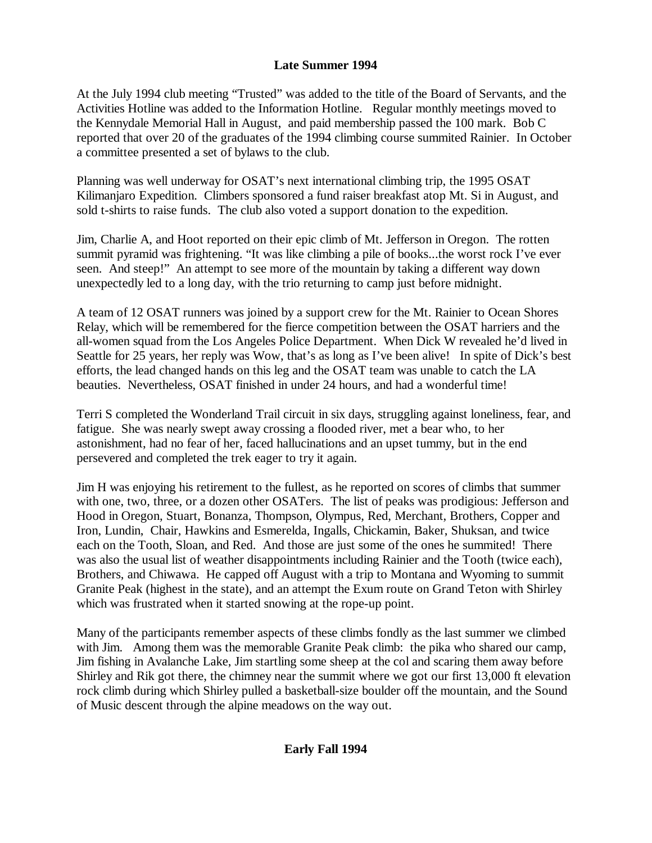# **Late Summer 1994**

At the July 1994 club meeting "Trusted" was added to the title of the Board of Servants, and the Activities Hotline was added to the Information Hotline. Regular monthly meetings moved to the Kennydale Memorial Hall in August, and paid membership passed the 100 mark. Bob C reported that over 20 of the graduates of the 1994 climbing course summited Rainier. In October a committee presented a set of bylaws to the club.

Planning was well underway for OSAT's next international climbing trip, the 1995 OSAT Kilimanjaro Expedition. Climbers sponsored a fund raiser breakfast atop Mt. Si in August, and sold t-shirts to raise funds. The club also voted a support donation to the expedition.

Jim, Charlie A, and Hoot reported on their epic climb of Mt. Jefferson in Oregon. The rotten summit pyramid was frightening. "It was like climbing a pile of books...the worst rock I've ever seen. And steep!" An attempt to see more of the mountain by taking a different way down unexpectedly led to a long day, with the trio returning to camp just before midnight.

A team of 12 OSAT runners was joined by a support crew for the Mt. Rainier to Ocean Shores Relay, which will be remembered for the fierce competition between the OSAT harriers and the all-women squad from the Los Angeles Police Department. When Dick W revealed he'd lived in Seattle for 25 years, her reply was Wow, that's as long as I've been alive! In spite of Dick's best efforts, the lead changed hands on this leg and the OSAT team was unable to catch the LA beauties. Nevertheless, OSAT finished in under 24 hours, and had a wonderful time!

Terri S completed the Wonderland Trail circuit in six days, struggling against loneliness, fear, and fatigue. She was nearly swept away crossing a flooded river, met a bear who, to her astonishment, had no fear of her, faced hallucinations and an upset tummy, but in the end persevered and completed the trek eager to try it again.

Jim H was enjoying his retirement to the fullest, as he reported on scores of climbs that summer with one, two, three, or a dozen other OSATers. The list of peaks was prodigious: Jefferson and Hood in Oregon, Stuart, Bonanza, Thompson, Olympus, Red, Merchant, Brothers, Copper and Iron, Lundin, Chair, Hawkins and Esmerelda, Ingalls, Chickamin, Baker, Shuksan, and twice each on the Tooth, Sloan, and Red. And those are just some of the ones he summited! There was also the usual list of weather disappointments including Rainier and the Tooth (twice each), Brothers, and Chiwawa. He capped off August with a trip to Montana and Wyoming to summit Granite Peak (highest in the state), and an attempt the Exum route on Grand Teton with Shirley which was frustrated when it started snowing at the rope-up point.

Many of the participants remember aspects of these climbs fondly as the last summer we climbed with Jim. Among them was the memorable Granite Peak climb: the pika who shared our camp, Jim fishing in Avalanche Lake, Jim startling some sheep at the col and scaring them away before Shirley and Rik got there, the chimney near the summit where we got our first 13,000 ft elevation rock climb during which Shirley pulled a basketball-size boulder off the mountain, and the Sound of Music descent through the alpine meadows on the way out.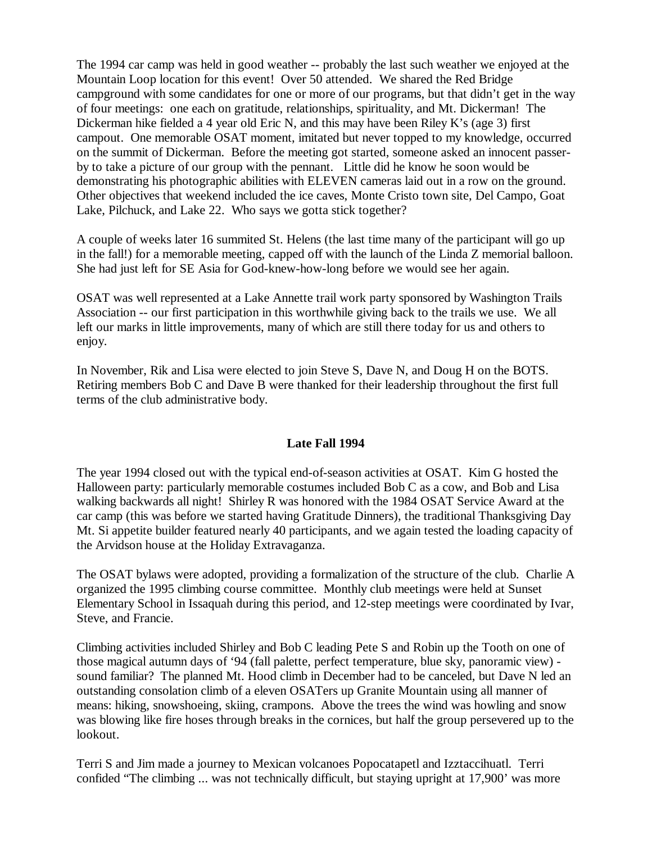The 1994 car camp was held in good weather -- probably the last such weather we enjoyed at the Mountain Loop location for this event! Over 50 attended. We shared the Red Bridge campground with some candidates for one or more of our programs, but that didn't get in the way of four meetings: one each on gratitude, relationships, spirituality, and Mt. Dickerman! The Dickerman hike fielded a 4 year old Eric N, and this may have been Riley K's (age 3) first campout. One memorable OSAT moment, imitated but never topped to my knowledge, occurred on the summit of Dickerman. Before the meeting got started, someone asked an innocent passerby to take a picture of our group with the pennant. Little did he know he soon would be demonstrating his photographic abilities with ELEVEN cameras laid out in a row on the ground. Other objectives that weekend included the ice caves, Monte Cristo town site, Del Campo, Goat Lake, Pilchuck, and Lake 22. Who says we gotta stick together?

A couple of weeks later 16 summited St. Helens (the last time many of the participant will go up in the fall!) for a memorable meeting, capped off with the launch of the Linda Z memorial balloon. She had just left for SE Asia for God-knew-how-long before we would see her again.

OSAT was well represented at a Lake Annette trail work party sponsored by Washington Trails Association -- our first participation in this worthwhile giving back to the trails we use. We all left our marks in little improvements, many of which are still there today for us and others to enjoy.

In November, Rik and Lisa were elected to join Steve S, Dave N, and Doug H on the BOTS. Retiring members Bob C and Dave B were thanked for their leadership throughout the first full terms of the club administrative body.

# **Late Fall 1994**

The year 1994 closed out with the typical end-of-season activities at OSAT. Kim G hosted the Halloween party: particularly memorable costumes included Bob C as a cow, and Bob and Lisa walking backwards all night! Shirley R was honored with the 1984 OSAT Service Award at the car camp (this was before we started having Gratitude Dinners), the traditional Thanksgiving Day Mt. Si appetite builder featured nearly 40 participants, and we again tested the loading capacity of the Arvidson house at the Holiday Extravaganza.

The OSAT bylaws were adopted, providing a formalization of the structure of the club. Charlie A organized the 1995 climbing course committee. Monthly club meetings were held at Sunset Elementary School in Issaquah during this period, and 12-step meetings were coordinated by Ivar, Steve, and Francie.

Climbing activities included Shirley and Bob C leading Pete S and Robin up the Tooth on one of those magical autumn days of '94 (fall palette, perfect temperature, blue sky, panoramic view) sound familiar? The planned Mt. Hood climb in December had to be canceled, but Dave N led an outstanding consolation climb of a eleven OSATers up Granite Mountain using all manner of means: hiking, snowshoeing, skiing, crampons. Above the trees the wind was howling and snow was blowing like fire hoses through breaks in the cornices, but half the group persevered up to the lookout.

Terri S and Jim made a journey to Mexican volcanoes Popocatapetl and Izztaccihuatl. Terri confided "The climbing ... was not technically difficult, but staying upright at 17,900' was more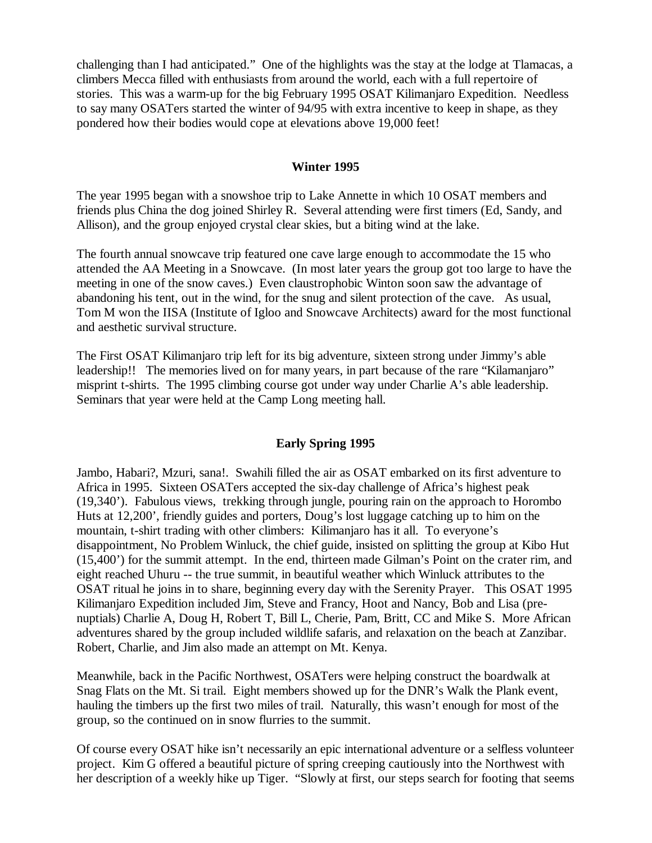challenging than I had anticipated." One of the highlights was the stay at the lodge at Tlamacas, a climbers Mecca filled with enthusiasts from around the world, each with a full repertoire of stories. This was a warm-up for the big February 1995 OSAT Kilimanjaro Expedition. Needless to say many OSATers started the winter of 94/95 with extra incentive to keep in shape, as they pondered how their bodies would cope at elevations above 19,000 feet!

#### **Winter 1995**

The year 1995 began with a snowshoe trip to Lake Annette in which 10 OSAT members and friends plus China the dog joined Shirley R. Several attending were first timers (Ed, Sandy, and Allison), and the group enjoyed crystal clear skies, but a biting wind at the lake.

The fourth annual snowcave trip featured one cave large enough to accommodate the 15 who attended the AA Meeting in a Snowcave. (In most later years the group got too large to have the meeting in one of the snow caves.) Even claustrophobic Winton soon saw the advantage of abandoning his tent, out in the wind, for the snug and silent protection of the cave. As usual, Tom M won the IISA (Institute of Igloo and Snowcave Architects) award for the most functional and aesthetic survival structure.

The First OSAT Kilimanjaro trip left for its big adventure, sixteen strong under Jimmy's able leadership!! The memories lived on for many years, in part because of the rare "Kilamanjaro" misprint t-shirts. The 1995 climbing course got under way under Charlie A's able leadership. Seminars that year were held at the Camp Long meeting hall.

#### **Early Spring 1995**

Jambo, Habari?, Mzuri, sana!. Swahili filled the air as OSAT embarked on its first adventure to Africa in 1995. Sixteen OSATers accepted the six-day challenge of Africa's highest peak (19,340'). Fabulous views, trekking through jungle, pouring rain on the approach to Horombo Huts at 12,200', friendly guides and porters, Doug's lost luggage catching up to him on the mountain, t-shirt trading with other climbers: Kilimanjaro has it all. To everyone's disappointment, No Problem Winluck, the chief guide, insisted on splitting the group at Kibo Hut (15,400') for the summit attempt. In the end, thirteen made Gilman's Point on the crater rim, and eight reached Uhuru -- the true summit, in beautiful weather which Winluck attributes to the OSAT ritual he joins in to share, beginning every day with the Serenity Prayer. This OSAT 1995 Kilimanjaro Expedition included Jim, Steve and Francy, Hoot and Nancy, Bob and Lisa (prenuptials) Charlie A, Doug H, Robert T, Bill L, Cherie, Pam, Britt, CC and Mike S. More African adventures shared by the group included wildlife safaris, and relaxation on the beach at Zanzibar. Robert, Charlie, and Jim also made an attempt on Mt. Kenya.

Meanwhile, back in the Pacific Northwest, OSATers were helping construct the boardwalk at Snag Flats on the Mt. Si trail. Eight members showed up for the DNR's Walk the Plank event, hauling the timbers up the first two miles of trail. Naturally, this wasn't enough for most of the group, so the continued on in snow flurries to the summit.

Of course every OSAT hike isn't necessarily an epic international adventure or a selfless volunteer project. Kim G offered a beautiful picture of spring creeping cautiously into the Northwest with her description of a weekly hike up Tiger. "Slowly at first, our steps search for footing that seems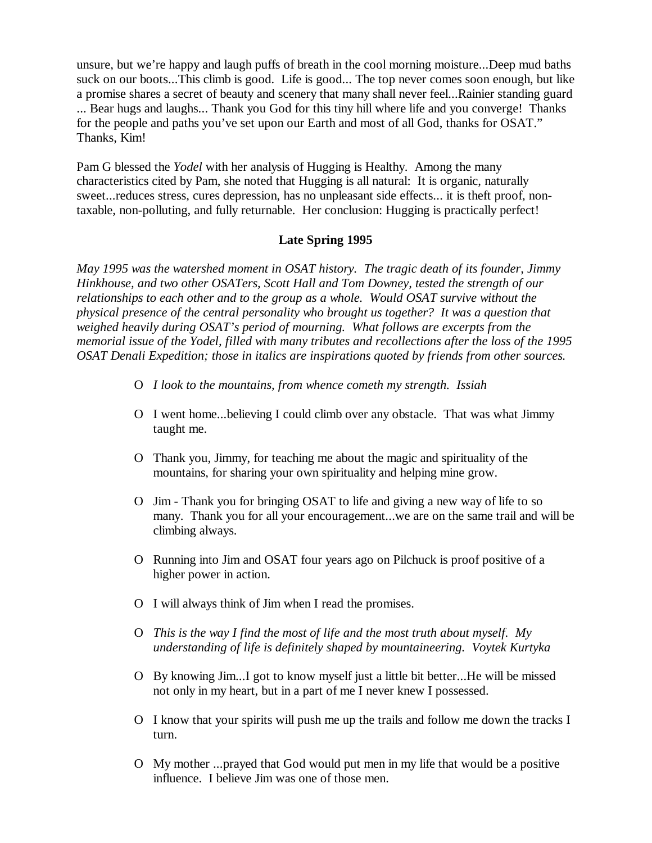unsure, but we're happy and laugh puffs of breath in the cool morning moisture...Deep mud baths suck on our boots...This climb is good. Life is good... The top never comes soon enough, but like a promise shares a secret of beauty and scenery that many shall never feel...Rainier standing guard ... Bear hugs and laughs... Thank you God for this tiny hill where life and you converge! Thanks for the people and paths you've set upon our Earth and most of all God, thanks for OSAT." Thanks, Kim!

Pam G blessed the *Yodel* with her analysis of Hugging is Healthy. Among the many characteristics cited by Pam, she noted that Hugging is all natural: It is organic, naturally sweet...reduces stress, cures depression, has no unpleasant side effects... it is theft proof, nontaxable, non-polluting, and fully returnable. Her conclusion: Hugging is practically perfect!

### **Late Spring 1995**

*May 1995 was the watershed moment in OSAT history. The tragic death of its founder, Jimmy Hinkhouse, and two other OSATers, Scott Hall and Tom Downey, tested the strength of our relationships to each other and to the group as a whole. Would OSAT survive without the physical presence of the central personality who brought us together? It was a question that weighed heavily during OSAT's period of mourning. What follows are excerpts from the memorial issue of the Yodel, filled with many tributes and recollections after the loss of the 1995 OSAT Denali Expedition; those in italics are inspirations quoted by friends from other sources.* 

- O *I look to the mountains, from whence cometh my strength. Issiah*
- O I went home...believing I could climb over any obstacle. That was what Jimmy taught me.
- O Thank you, Jimmy, for teaching me about the magic and spirituality of the mountains, for sharing your own spirituality and helping mine grow.
- O Jim Thank you for bringing OSAT to life and giving a new way of life to so many. Thank you for all your encouragement...we are on the same trail and will be climbing always.
- O Running into Jim and OSAT four years ago on Pilchuck is proof positive of a higher power in action.
- O I will always think of Jim when I read the promises.
- O *This is the way I find the most of life and the most truth about myself. My understanding of life is definitely shaped by mountaineering. Voytek Kurtyka*
- O By knowing Jim...I got to know myself just a little bit better...He will be missed not only in my heart, but in a part of me I never knew I possessed.
- O I know that your spirits will push me up the trails and follow me down the tracks I turn.
- O My mother ...prayed that God would put men in my life that would be a positive influence. I believe Jim was one of those men.